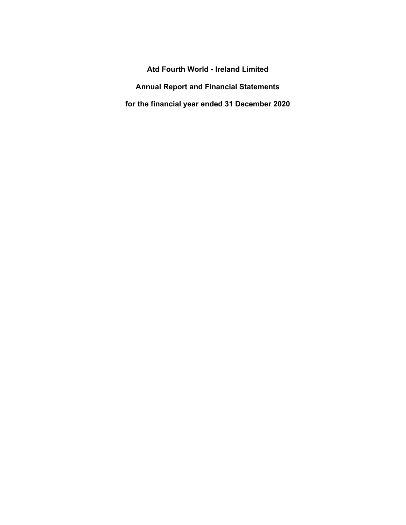**Atd Fourth World - Ireland Limited Annual Report and Financial Statements for the financial year ended 31 December 2020**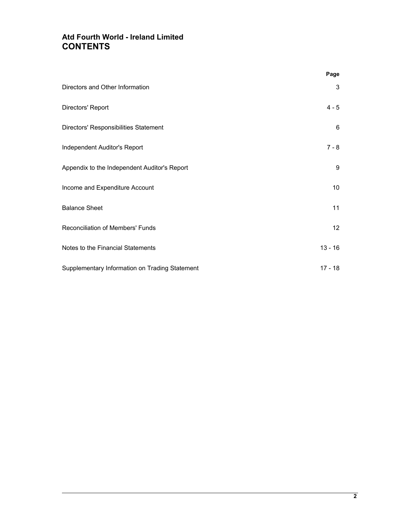## **Atd Fourth World - Ireland Limited CONTENTS**

|                                                | Page            |
|------------------------------------------------|-----------------|
| Directors and Other Information                | 3               |
| Directors' Report                              | $4 - 5$         |
| Directors' Responsibilities Statement          | 6               |
| Independent Auditor's Report                   | $7 - 8$         |
| Appendix to the Independent Auditor's Report   | 9               |
| Income and Expenditure Account                 | 10 <sup>1</sup> |
| <b>Balance Sheet</b>                           | 11              |
| <b>Reconciliation of Members' Funds</b>        | 12 <sup>°</sup> |
| Notes to the Financial Statements              | $13 - 16$       |
| Supplementary Information on Trading Statement | $17 - 18$       |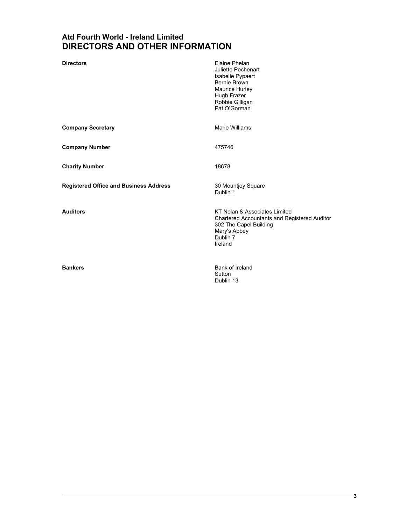## **Atd Fourth World - Ireland Limited DIRECTORS AND OTHER INFORMATION**

| <b>Directors</b>                              | Elaine Phelan<br>Juliette Pechenart<br>Isabelle Pypaert<br>Bernie Brown<br>Maurice Hurley<br>Hugh Frazer<br>Robbie Gilligan<br>Pat O'Gorman           |
|-----------------------------------------------|-------------------------------------------------------------------------------------------------------------------------------------------------------|
| <b>Company Secretary</b>                      | <b>Marie Williams</b>                                                                                                                                 |
| <b>Company Number</b>                         | 475746                                                                                                                                                |
| <b>Charity Number</b>                         | 18678                                                                                                                                                 |
| <b>Registered Office and Business Address</b> | 30 Mountjoy Square<br>Dublin 1                                                                                                                        |
| <b>Auditors</b>                               | KT Nolan & Associates Limited<br><b>Chartered Accountants and Registered Auditor</b><br>302 The Capel Building<br>Mary's Abbey<br>Dublin 7<br>Ireland |
| <b>Bankers</b>                                | Bank of Ireland<br>Sutton<br>Dublin 13                                                                                                                |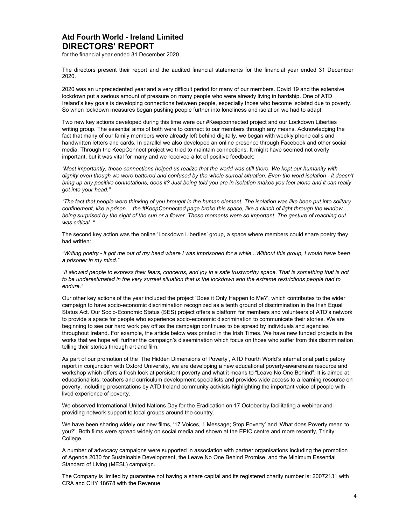### **Atd Fourth World - Ireland Limited DIRECTORS' REPORT**

for the financial year ended 31 December 2020

The directors present their report and the audited financial statements for the financial year ended 31 December 2020.

2020 was an unprecedented year and a very difficult period for many of our members. Covid 19 and the extensive lockdown put a serious amount of pressure on many people who were already living in hardship. One of ATD Ireland's key goals is developing connections between people, especially those who become isolated due to poverty. So when lockdown measures began pushing people further into loneliness and isolation we had to adapt.

Two new key actions developed during this time were our #Keepconnected project and our Lockdown Liberties writing group. The essential aims of both were to connect to our members through any means. Acknowledging the fact that many of our family members were already left behind digitally, we began with weekly phone calls and handwritten letters and cards. In parallel we also developed an online presence through Facebook and other social media. Through the KeepConnect project we tried to maintain connections. It might have seemed not overly important, but it was vital for many and we received a lot of positive feedback:

*"Most importantly, these connections helped us realize that the world was still there. We kept our humanity with*  dignity even though we were battered and confused by the whole surreal situation. Even the word isolation - it doesn't *bring up any positive connotations, does it? Just being told you are in isolation makes you feel alone and it can really get into your head."* 

*"The fact that people were thinking of you brought in the human element. The isolation was like been put into solitary confinement, like a prison… the #KeepConnected page broke this space, like a clinch of light through the window….*  being surprised by the sight of the sun or a flower. These moments were so important. The gesture of reaching out *was critical. "* 

The second key action was the online 'Lockdown Liberties' group, a space where members could share poetry they had written:

*"Writing poetry - it got me out of my head where I was imprisoned for a while...Without this group, I would have been a prisoner in my mind."*

*"It allowed people to express their fears, concerns, and joy in a safe trustworthy space. That is something that is not to be underestimated in the very surreal situation that is the lockdown and the extreme restrictions people had to endure."* 

Our other key actions of the year included the project 'Does it Only Happen to Me?', which contributes to the wider campaign to have socio-economic discrimination recognized as a tenth ground of discrimination in the Irish Equal Status Act. Our Socio-Economic Status (SES) project offers a platform for members and volunteers of ATD's network to provide a space for people who experience socio-economic discrimination to communicate their stories. We are beginning to see our hard work pay off as the campaign continues to be spread by individuals and agencies throughout Ireland. For example, the article below was printed in the Irish Times. We have new funded projects in the works that we hope will further the campaign's dissemination which focus on those who suffer from this discrimination telling their stories through art and film.

As part of our promotion of the 'The Hidden Dimensions of Poverty', ATD Fourth World's international participatory report in conjunction with Oxford University, we are developing a new educational poverty-awareness resource and workshop which offers a fresh look at persistent poverty and what it means to "Leave No One Behind". It is aimed at educationalists, teachers and curriculum development specialists and provides wide access to a learning resource on poverty, including presentations by ATD Ireland community activists highlighting the important voice of people with lived experience of poverty.

We observed International United Nations Day for the Eradication on 17 October by facilitating a webinar and providing network support to local groups around the country.

We have been sharing widely our new films, '17 Voices, 1 Message; Stop Poverty' and 'What does Poverty mean to you?'. Both films were spread widely on social media and shown at the EPIC centre and more recently, Trinity College.

A number of advocacy campaigns were supported in association with partner organisations including the promotion of Agenda 2030 for Sustainable Development, the Leave No One Behind Promise, and the Minimum Essential Standard of Living (MESL) campaign.

The Company is limited by guarantee not having a share capital and its registered charity number is: 20072131 with CRA and CHY 18678 with the Revenue.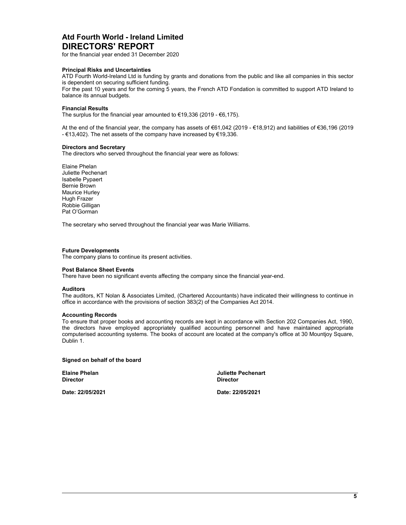### **Atd Fourth World - Ireland Limited DIRECTORS' REPORT**

for the financial year ended 31 December 2020

### **Principal Risks and Uncertainties**

ATD Fourth World-Ireland Ltd is funding by grants and donations from the public and like all companies in this sector is dependent on securing sufficient funding.

For the past 10 years and for the coming 5 years, the French ATD Fondation is committed to support ATD Ireland to balance its annual budgets.

### **Financial Results**

The surplus for the financial year amounted to  $€19,336$  (2019 -  $€6,175$ ).

At the end of the financial year, the company has assets of €61,042 (2019 - €18,912) and liabilities of €36,196 (2019 - €13,402). The net assets of the company have increased by €19,336.

### **Directors and Secretary**

The directors who served throughout the financial year were as follows:

Elaine Phelan Juliette Pechenart Isabelle Pypaert Bernie Brown Maurice Hurley Hugh Frazer Robbie Gilligan Pat O'Gorman

The secretary who served throughout the financial year was Marie Williams.

#### **Future Developments**

The company plans to continue its present activities.

#### **Post Balance Sheet Events**

There have been no significant events affecting the company since the financial year-end.

#### **Auditors**

The auditors, KT Nolan & Associates Limited, (Chartered Accountants) have indicated their willingness to continue in office in accordance with the provisions of section 383(2) of the Companies Act 2014.

### **Accounting Records**

To ensure that proper books and accounting records are kept in accordance with Section 202 Companies Act, 1990, the directors have employed appropriately qualified accounting personnel and have maintained appropriate computerised accounting systems. The books of account are located at the company's office at 30 Mountjoy Square, Dublin 1.

**Signed on behalf of the board** 

**Elaine Phelan Juliette Pechenart Director** 

**Date: 22/05/2021 Date: 22/05/2021**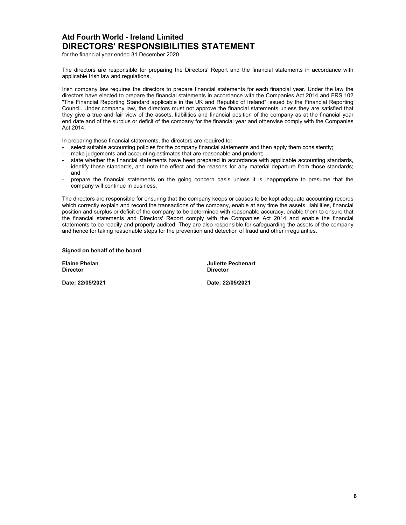## **Atd Fourth World - Ireland Limited DIRECTORS' RESPONSIBILITIES STATEMENT**

for the financial year ended 31 December 2020

The directors are responsible for preparing the Directors' Report and the financial statements in accordance with applicable Irish law and regulations.

Irish company law requires the directors to prepare financial statements for each financial year. Under the law the directors have elected to prepare the financial statements in accordance with the Companies Act 2014 and FRS 102 "The Financial Reporting Standard applicable in the UK and Republic of Ireland" issued by the Financial Reporting Council. Under company law, the directors must not approve the financial statements unless they are satisfied that they give a true and fair view of the assets, liabilities and financial position of the company as at the financial year end date and of the surplus or deficit of the company for the financial year and otherwise comply with the Companies Act 2014.

In preparing these financial statements, the directors are required to:

- select suitable accounting policies for the company financial statements and then apply them consistently:
- make judgements and accounting estimates that are reasonable and prudent;
- state whether the financial statements have been prepared in accordance with applicable accounting standards, identify those standards, and note the effect and the reasons for any material departure from those standards; and
- prepare the financial statements on the going concern basis unless it is inappropriate to presume that the company will continue in business.

The directors are responsible for ensuring that the company keeps or causes to be kept adequate accounting records which correctly explain and record the transactions of the company, enable at any time the assets, liabilities, financial position and surplus or deficit of the company to be determined with reasonable accuracy, enable them to ensure that the financial statements and Directors' Report comply with the Companies Act 2014 and enable the financial statements to be readily and properly audited. They are also responsible for safeguarding the assets of the company and hence for taking reasonable steps for the prevention and detection of fraud and other irregularities.

**Signed on behalf of the board** 

**Elaine Phelan Juliette Pechenart Director** 

**Date: 22/05/2021 Date: 22/05/2021**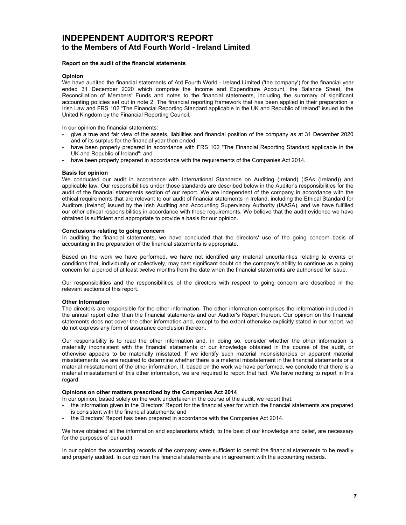### **INDEPENDENT AUDITOR'S REPORT to the Members of Atd Fourth World - Ireland Limited**

### **Report on the audit of the financial statements**

### **Opinion**

We have audited the financial statements of Atd Fourth World - Ireland Limited ('the company') for the financial year ended 31 December 2020 which comprise the Income and Expenditure Account, the Balance Sheet, the Reconciliation of Members' Funds and notes to the financial statements, including the summary of significant accounting policies set out in note 2. The financial reporting framework that has been applied in their preparation is Irish Law and FRS 102 "The Financial Reporting Standard applicable in the UK and Republic of Ireland" issued in the United Kingdom by the Financial Reporting Council.

In our opinion the financial statements:

- give a true and fair view of the assets, liabilities and financial position of the company as at 31 December 2020 and of its surplus for the financial year then ended;
- have been properly prepared in accordance with FRS 102 "The Financial Reporting Standard applicable in the UK and Republic of Ireland"; and
- have been properly prepared in accordance with the requirements of the Companies Act 2014.

#### **Basis for opinion**

We conducted our audit in accordance with International Standards on Auditing (Ireland) (ISAs (Ireland)) and applicable law. Our responsibilities under those standards are described below in the Auditor's responsibilities for the audit of the financial statements section of our report. We are independent of the company in accordance with the ethical requirements that are relevant to our audit of financial statements in Ireland, including the Ethical Standard for Auditors (Ireland) issued by the Irish Auditing and Accounting Supervisory Authority (IAASA), and we have fulfilled our other ethical responsibilities in accordance with these requirements. We believe that the audit evidence we have obtained is sufficient and appropriate to provide a basis for our opinion.

### **Conclusions relating to going concern**

In auditing the financial statements, we have concluded that the directors' use of the going concern basis of accounting in the preparation of the financial statements is appropriate.

Based on the work we have performed, we have not identified any material uncertainties relating to events or conditions that, individually or collectively, may cast significant doubt on the company's ability to continue as a going concern for a period of at least twelve months from the date when the financial statements are authorised for issue.

Our responsibilities and the responsibilities of the directors with respect to going concern are described in the relevant sections of this report.

#### **Other Information**

The directors are responsible for the other information. The other information comprises the information included in the annual report other than the financial statements and our Auditor's Report thereon. Our opinion on the financial statements does not cover the other information and, except to the extent otherwise explicitly stated in our report, we do not express any form of assurance conclusion thereon.

Our responsibility is to read the other information and, in doing so, consider whether the other information is materially inconsistent with the financial statements or our knowledge obtained in the course of the audit, or otherwise appears to be materially misstated. If we identify such material inconsistencies or apparent material misstatements, we are required to determine whether there is a material misstatement in the financial statements or a material misstatement of the other information. If, based on the work we have performed, we conclude that there is a material misstatement of this other information, we are required to report that fact. We have nothing to report in this regard.

#### **Opinions on other matters prescribed by the Companies Act 2014**

In our opinion, based solely on the work undertaken in the course of the audit, we report that:

- the information given in the Directors' Report for the financial year for which the financial statements are prepared is consistent with the financial statements; and
- the Directors' Report has been prepared in accordance with the Companies Act 2014.

We have obtained all the information and explanations which, to the best of our knowledge and belief, are necessary for the purposes of our audit.

In our opinion the accounting records of the company were sufficient to permit the financial statements to be readily and properly audited. In our opinion the financial statements are in agreement with the accounting records.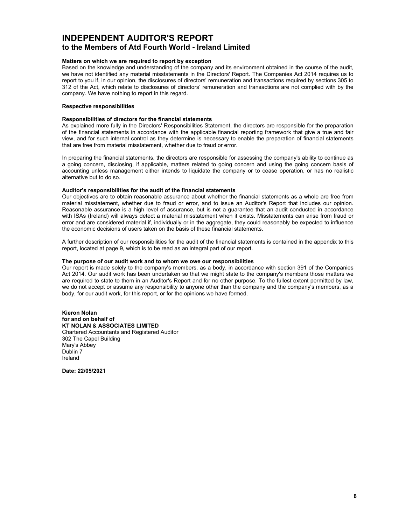### **INDEPENDENT AUDITOR'S REPORT to the Members of Atd Fourth World - Ireland Limited**

### **Matters on which we are required to report by exception**

Based on the knowledge and understanding of the company and its environment obtained in the course of the audit, we have not identified any material misstatements in the Directors' Report. The Companies Act 2014 requires us to report to you if, in our opinion, the disclosures of directors' remuneration and transactions required by sections 305 to 312 of the Act, which relate to disclosures of directors' remuneration and transactions are not complied with by the company. We have nothing to report in this regard.

### **Respective responsibilities**

### **Responsibilities of directors for the financial statements**

As explained more fully in the Directors' Responsibilities Statement, the directors are responsible for the preparation of the financial statements in accordance with the applicable financial reporting framework that give a true and fair view, and for such internal control as they determine is necessary to enable the preparation of financial statements that are free from material misstatement, whether due to fraud or error.

In preparing the financial statements, the directors are responsible for assessing the company's ability to continue as a going concern, disclosing, if applicable, matters related to going concern and using the going concern basis of accounting unless management either intends to liquidate the company or to cease operation, or has no realistic alternative but to do so.

### **Auditor's responsibilities for the audit of the financial statements**

Our objectives are to obtain reasonable assurance about whether the financial statements as a whole are free from material misstatement, whether due to fraud or error, and to issue an Auditor's Report that includes our opinion. Reasonable assurance is a high level of assurance, but is not a guarantee that an audit conducted in accordance with ISAs (Ireland) will always detect a material misstatement when it exists. Misstatements can arise from fraud or error and are considered material if, individually or in the aggregate, they could reasonably be expected to influence the economic decisions of users taken on the basis of these financial statements.

A further description of our responsibilities for the audit of the financial statements is contained in the appendix to this report, located at page 9, which is to be read as an integral part of our report.

### **The purpose of our audit work and to whom we owe our responsibilities**

Our report is made solely to the company's members, as a body, in accordance with section 391 of the Companies Act 2014. Our audit work has been undertaken so that we might state to the company's members those matters we are required to state to them in an Auditor's Report and for no other purpose. To the fullest extent permitted by law, we do not accept or assume any responsibility to anyone other than the company and the company's members, as a body, for our audit work, for this report, or for the opinions we have formed.

**Kieron Nolan for and on behalf of KT NOLAN & ASSOCIATES LIMITED**  Chartered Accountants and Registered Auditor 302 The Capel Building Mary's Abbey Dublin 7 Ireland

**Date: 22/05/2021**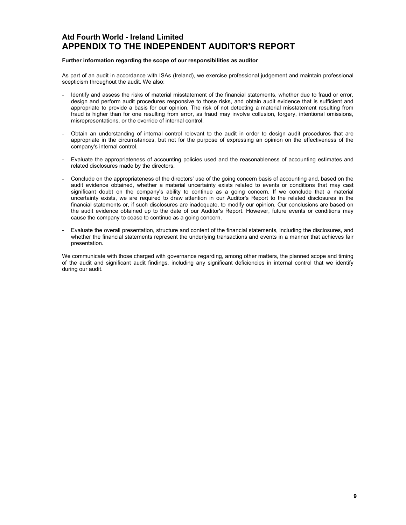### **Atd Fourth World - Ireland Limited APPENDIX TO THE INDEPENDENT AUDITOR'S REPORT**

### **Further information regarding the scope of our responsibilities as auditor**

As part of an audit in accordance with ISAs (Ireland), we exercise professional judgement and maintain professional scepticism throughout the audit. We also:

- Identify and assess the risks of material misstatement of the financial statements, whether due to fraud or error, design and perform audit procedures responsive to those risks, and obtain audit evidence that is sufficient and appropriate to provide a basis for our opinion. The risk of not detecting a material misstatement resulting from fraud is higher than for one resulting from error, as fraud may involve collusion, forgery, intentional omissions, misrepresentations, or the override of internal control.
- Obtain an understanding of internal control relevant to the audit in order to design audit procedures that are appropriate in the circumstances, but not for the purpose of expressing an opinion on the effectiveness of the company's internal control.
- Evaluate the appropriateness of accounting policies used and the reasonableness of accounting estimates and related disclosures made by the directors.
- Conclude on the appropriateness of the directors' use of the going concern basis of accounting and, based on the audit evidence obtained, whether a material uncertainty exists related to events or conditions that may cast significant doubt on the company's ability to continue as a going concern. If we conclude that a material uncertainty exists, we are required to draw attention in our Auditor's Report to the related disclosures in the financial statements or, if such disclosures are inadequate, to modify our opinion. Our conclusions are based on the audit evidence obtained up to the date of our Auditor's Report. However, future events or conditions may cause the company to cease to continue as a going concern.
- Evaluate the overall presentation, structure and content of the financial statements, including the disclosures, and whether the financial statements represent the underlying transactions and events in a manner that achieves fair presentation.

We communicate with those charged with governance regarding, among other matters, the planned scope and timing of the audit and significant audit findings, including any significant deficiencies in internal control that we identify during our audit.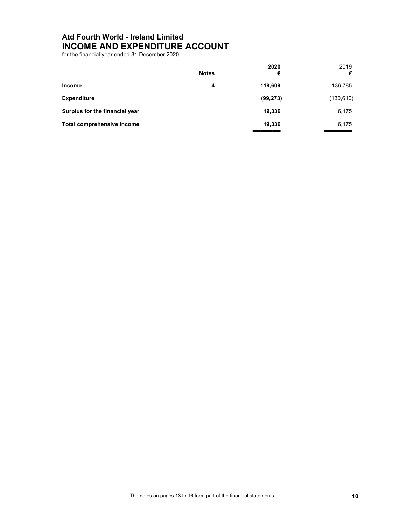# **Atd Fourth World - Ireland Limited INCOME AND EXPENDITURE ACCOUNT**

for the financial year ended 31 December 2020

|                                | <b>Notes</b> | 2020<br>€ | 2019<br>€  |
|--------------------------------|--------------|-----------|------------|
| <b>Income</b>                  | 4            | 118,609   | 136,785    |
| <b>Expenditure</b>             |              | (99, 273) | (130, 610) |
| Surplus for the financial year |              | 19,336    | 6,175      |
| Total comprehensive income     |              | 19,336    | 6,175      |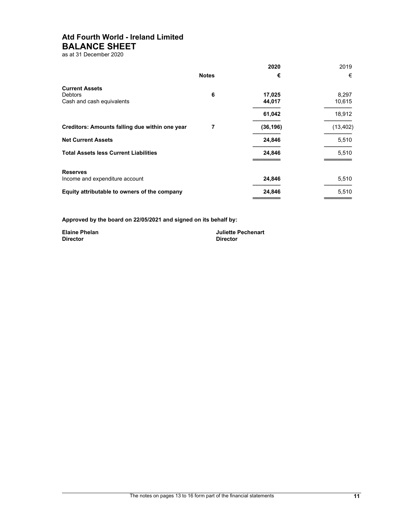## **Atd Fourth World - Ireland Limited BALANCE SHEET**

as at 31 December 2020

|                                                |              | 2020      | 2019      |
|------------------------------------------------|--------------|-----------|-----------|
|                                                | <b>Notes</b> | €         | €         |
| <b>Current Assets</b>                          |              |           |           |
| <b>Debtors</b>                                 | 6            | 17,025    | 8,297     |
| Cash and cash equivalents                      |              | 44,017    | 10.615    |
|                                                |              | 61,042    | 18,912    |
| Creditors: Amounts falling due within one year | 7            | (36, 196) | (13, 402) |
| <b>Net Current Assets</b>                      |              | 24,846    | 5,510     |
| <b>Total Assets less Current Liabilities</b>   |              | 24,846    | 5,510     |
| <b>Reserves</b>                                |              |           |           |
| Income and expenditure account                 |              | 24,846    | 5,510     |
| Equity attributable to owners of the company   |              | 24,846    | 5,510     |
|                                                |              |           |           |

**Approved by the board on 22/05/2021 and signed on its behalf by:** 

**Director Director** 

**Elaine Phelan Juliette Pechenart**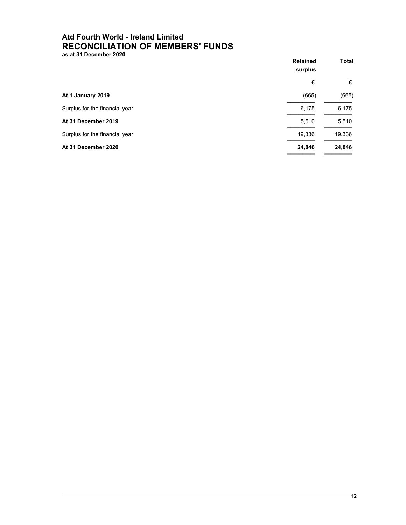### **Atd Fourth World - Ireland Limited RECONCILIATION OF MEMBERS' FUNDS as at 31 December 2020**

|                                | <b>Retained</b><br>surplus | <b>Total</b> |
|--------------------------------|----------------------------|--------------|
|                                | €                          | €            |
| At 1 January 2019              | (665)                      | (665)        |
| Surplus for the financial year | 6,175                      | 6,175        |
| At 31 December 2019            | 5,510                      | 5,510        |
| Surplus for the financial year | 19,336                     | 19,336       |
| At 31 December 2020            | 24,846                     | 24,846       |
|                                |                            |              |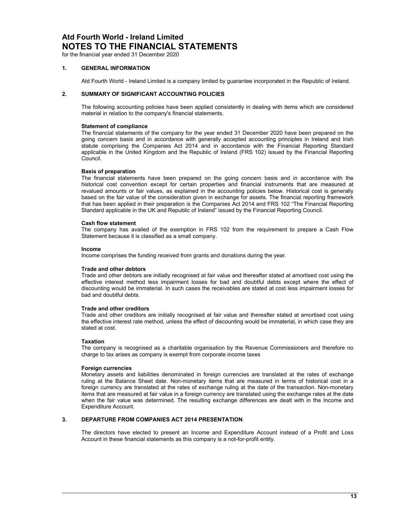## **Atd Fourth World - Ireland Limited NOTES TO THE FINANCIAL STATEMENTS**

for the financial year ended 31 December 2020

### **1. GENERAL INFORMATION**

Atd Fourth World - Ireland Limited is a company limited by guarantee incorporated in the Republic of Ireland.

### **2. SUMMARY OF SIGNIFICANT ACCOUNTING POLICIES**

 The following accounting policies have been applied consistently in dealing with items which are considered material in relation to the company's financial statements.

### **Statement of compliance**

 The financial statements of the company for the year ended 31 December 2020 have been prepared on the going concern basis and in accordance with generally accepted accounting principles in Ireland and Irish statute comprising the Companies Act 2014 and in accordance with the Financial Reporting Standard applicable in the United Kingdom and the Republic of Ireland (FRS 102) issued by the Financial Reporting Council.

### **Basis of preparation**

 The financial statements have been prepared on the going concern basis and in accordance with the historical cost convention except for certain properties and financial instruments that are measured at revalued amounts or fair values, as explained in the accounting policies below. Historical cost is generally based on the fair value of the consideration given in exchange for assets. The financial reporting framework that has been applied in their preparation is the Companies Act 2014 and FRS 102 "The Financial Reporting Standard applicable in the UK and Republic of Ireland" issued by the Financial Reporting Council.

### **Cash flow statement**

 The company has availed of the exemption in FRS 102 from the requirement to prepare a Cash Flow Statement because it is classified as a small company.

### **Income**

Income comprises the funding received from grants and donations during the year.

### **Trade and other debtors**

 Trade and other debtors are initially recognised at fair value and thereafter stated at amortised cost using the effective interest method less impairment losses for bad and doubtful debts except where the effect of discounting would be immaterial. In such cases the receivables are stated at cost less impairment losses for bad and doubtful debts.

### **Trade and other creditors**

 Trade and other creditors are initially recognised at fair value and thereafter stated at amortised cost using the effective interest rate method, unless the effect of discounting would be immaterial, in which case they are stated at cost.

### **Taxation**

 The company is recognised as a charitable organisation by the Revenue Commissioners and therefore no charge to tax arises as company is exempt from corporate income taxes

### **Foreign currencies**

 Monetary assets and liabilities denominated in foreign currencies are translated at the rates of exchange ruling at the Balance Sheet date. Non-monetary items that are measured in terms of historical cost in a foreign currency are translated at the rates of exchange ruling at the date of the transaction. Non-monetary items that are measured at fair value in a foreign currency are translated using the exchange rates at the date when the fair value was determined. The resulting exchange differences are dealt with in the Income and Expenditure Account.

### **3. DEPARTURE FROM COMPANIES ACT 2014 PRESENTATION**

 The directors have elected to present an Income and Expenditure Account instead of a Profit and Loss Account in these financial statements as this company is a not-for-profit entity.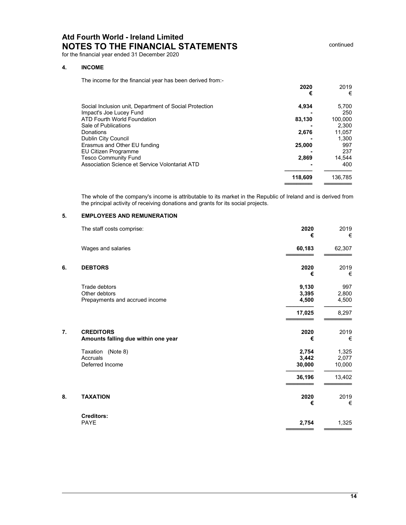## **Atd Fourth World - Ireland Limited NOTES TO THE FINANCIAL STATEMENTS CONTAINS CONTINUED**

for the financial year ended 31 December 2020

### **4. INCOME**

The income for the financial year has been derived from:-

|                                                        | 2020<br>€ | 2019<br>€ |
|--------------------------------------------------------|-----------|-----------|
| Social Inclusion unit, Department of Social Protection | 4,934     | 5.700     |
| Impact's Joe Lucey Fund                                |           | 250       |
| ATD Fourth World Foundation                            | 83,130    | 100,000   |
| Sale of Publications                                   |           | 2.300     |
| Donations                                              | 2,676     | 11,057    |
| Dublin City Council                                    |           | 1,300     |
| Erasmus and Other EU funding                           | 25,000    | 997       |
| <b>EU Citizen Programme</b>                            |           | 237       |
| <b>Tesco Community Fund</b>                            | 2,869     | 14.544    |
| Association Science et Service Volontariat ATD         |           | 400       |
|                                                        | 118,609   | 136,785   |
|                                                        |           |           |

 The whole of the company's income is attributable to its market in the Republic of Ireland and is derived from the principal activity of receiving donations and grants for its social projects.

#### $5.$ **5. EMPLOYEES AND REMUNERATION**

|    | The staff costs comprise:                                        | 2020<br>€                | 2019<br>€                |
|----|------------------------------------------------------------------|--------------------------|--------------------------|
|    | Wages and salaries                                               | 60,183                   | 62,307                   |
| 6. | <b>DEBTORS</b>                                                   | 2020<br>€                | 2019<br>€                |
|    | Trade debtors<br>Other debtors<br>Prepayments and accrued income | 9,130<br>3,395<br>4,500  | 997<br>2,800<br>4,500    |
|    |                                                                  | 17,025                   | 8,297                    |
| 7. | <b>CREDITORS</b><br>Amounts falling due within one year          | 2020<br>€                | 2019<br>€                |
|    | Taxation (Note 8)<br>Accruals<br>Deferred Income                 | 2,754<br>3,442<br>30,000 | 1,325<br>2,077<br>10,000 |
|    |                                                                  | 36,196                   | 13,402                   |
| 8. | <b>TAXATION</b>                                                  | 2020<br>€                | 2019<br>€                |
|    | <b>Creditors:</b><br>PAYE                                        | 2,754                    | 1,325                    |